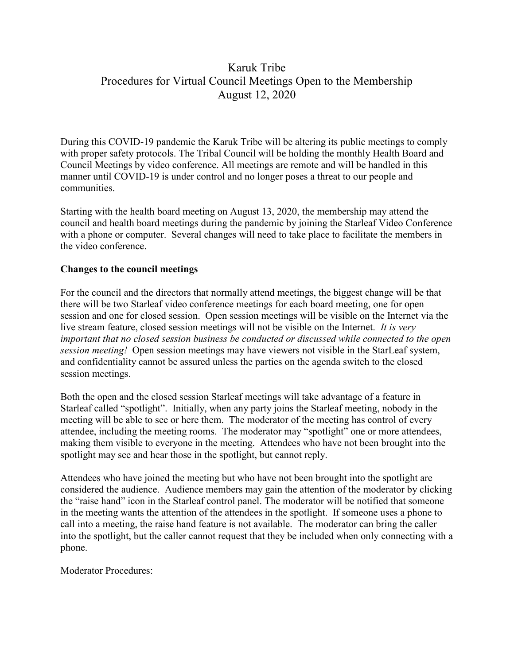# Karuk Tribe Procedures for Virtual Council Meetings Open to the Membership August 12, 2020

During this COVID-19 pandemic the Karuk Tribe will be altering its public meetings to comply with proper safety protocols. The Tribal Council will be holding the monthly Health Board and Council Meetings by video conference. All meetings are remote and will be handled in this manner until COVID-19 is under control and no longer poses a threat to our people and communities.

Starting with the health board meeting on August 13, 2020, the membership may attend the council and health board meetings during the pandemic by joining the Starleaf Video Conference with a phone or computer. Several changes will need to take place to facilitate the members in the video conference.

## **Changes to the council meetings**

For the council and the directors that normally attend meetings, the biggest change will be that there will be two Starleaf video conference meetings for each board meeting, one for open session and one for closed session. Open session meetings will be visible on the Internet via the live stream feature, closed session meetings will not be visible on the Internet. *It is very important that no closed session business be conducted or discussed while connected to the open session meeting!* Open session meetings may have viewers not visible in the StarLeaf system, and confidentiality cannot be assured unless the parties on the agenda switch to the closed session meetings.

Both the open and the closed session Starleaf meetings will take advantage of a feature in Starleaf called "spotlight". Initially, when any party joins the Starleaf meeting, nobody in the meeting will be able to see or here them. The moderator of the meeting has control of every attendee, including the meeting rooms. The moderator may "spotlight" one or more attendees, making them visible to everyone in the meeting. Attendees who have not been brought into the spotlight may see and hear those in the spotlight, but cannot reply.

Attendees who have joined the meeting but who have not been brought into the spotlight are considered the audience. Audience members may gain the attention of the moderator by clicking the "raise hand" icon in the Starleaf control panel. The moderator will be notified that someone in the meeting wants the attention of the attendees in the spotlight. If someone uses a phone to call into a meeting, the raise hand feature is not available. The moderator can bring the caller into the spotlight, but the caller cannot request that they be included when only connecting with a phone.

Moderator Procedures: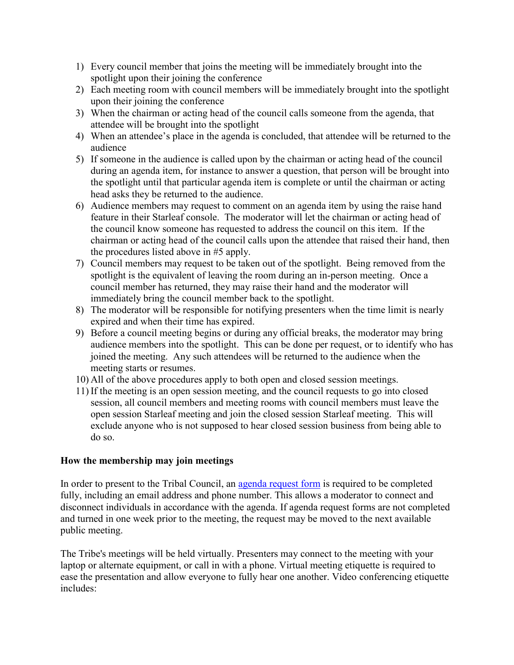- 1) Every council member that joins the meeting will be immediately brought into the spotlight upon their joining the conference
- 2) Each meeting room with council members will be immediately brought into the spotlight upon their joining the conference
- 3) When the chairman or acting head of the council calls someone from the agenda, that attendee will be brought into the spotlight
- 4) When an attendee's place in the agenda is concluded, that attendee will be returned to the audience
- 5) If someone in the audience is called upon by the chairman or acting head of the council during an agenda item, for instance to answer a question, that person will be brought into the spotlight until that particular agenda item is complete or until the chairman or acting head asks they be returned to the audience.
- 6) Audience members may request to comment on an agenda item by using the raise hand feature in their Starleaf console. The moderator will let the chairman or acting head of the council know someone has requested to address the council on this item. If the chairman or acting head of the council calls upon the attendee that raised their hand, then the procedures listed above in #5 apply.
- 7) Council members may request to be taken out of the spotlight. Being removed from the spotlight is the equivalent of leaving the room during an in-person meeting. Once a council member has returned, they may raise their hand and the moderator will immediately bring the council member back to the spotlight.
- 8) The moderator will be responsible for notifying presenters when the time limit is nearly expired and when their time has expired.
- 9) Before a council meeting begins or during any official breaks, the moderator may bring audience members into the spotlight. This can be done per request, or to identify who has joined the meeting. Any such attendees will be returned to the audience when the meeting starts or resumes.
- 10) All of the above procedures apply to both open and closed session meetings.
- 11) If the meeting is an open session meeting, and the council requests to go into closed session, all council members and meeting rooms with council members must leave the open session Starleaf meeting and join the closed session Starleaf meeting. This will exclude anyone who is not supposed to hear closed session business from being able to do so.

## **How the membership may join meetings**

In order to present to the Tribal Council, an [agenda request form](https://www.karuk.us/images/docs/AGENDA_REQUEST_Karuk_Tribe.pdf) is required to be completed fully, including an email address and phone number. This allows a moderator to connect and disconnect individuals in accordance with the agenda. If agenda request forms are not completed and turned in one week prior to the meeting, the request may be moved to the next available public meeting.

The Tribe's meetings will be held virtually. Presenters may connect to the meeting with your laptop or alternate equipment, or call in with a phone. Virtual meeting etiquette is required to ease the presentation and allow everyone to fully hear one another. Video conferencing etiquette includes: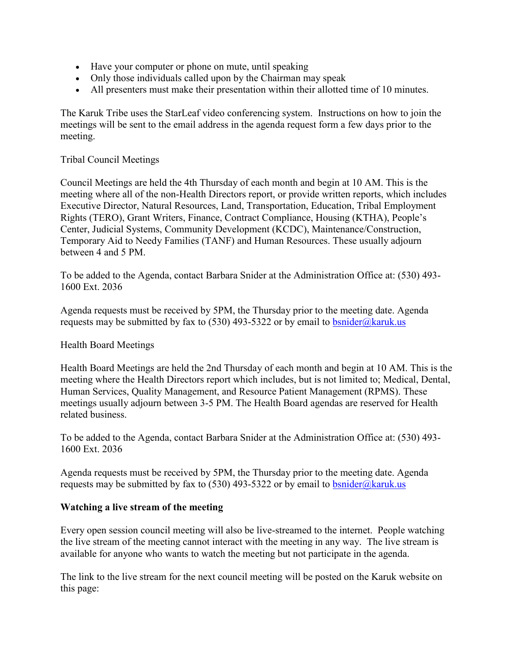- Have your computer or phone on mute, until speaking
- Only those individuals called upon by the Chairman may speak
- All presenters must make their presentation within their allotted time of 10 minutes.

The Karuk Tribe uses the StarLeaf video conferencing system. Instructions on how to join the meetings will be sent to the email address in the agenda request form a few days prior to the meeting.

#### Tribal Council Meetings

Council Meetings are held the 4th Thursday of each month and begin at 10 AM. This is the meeting where all of the non-Health Directors report, or provide written reports, which includes Executive Director, Natural Resources, Land, Transportation, Education, Tribal Employment Rights (TERO), Grant Writers, Finance, Contract Compliance, Housing (KTHA), People's Center, Judicial Systems, Community Development (KCDC), Maintenance/Construction, Temporary Aid to Needy Families (TANF) and Human Resources. These usually adjourn between 4 and 5 PM.

To be added to the Agenda, contact Barbara Snider at the Administration Office at: (530) 493- 1600 Ext. 2036

Agenda requests must be received by 5PM, the Thursday prior to the meeting date. Agenda requests may be submitted by fax to (530) 493-5322 or by email to  $\overline{b} \text{snider}(\overline{a} \text{karuk.us})$ 

#### Health Board Meetings

Health Board Meetings are held the 2nd Thursday of each month and begin at 10 AM. This is the meeting where the Health Directors report which includes, but is not limited to; Medical, Dental, Human Services, Quality Management, and Resource Patient Management (RPMS). These meetings usually adjourn between 3-5 PM. The Health Board agendas are reserved for Health related business.

To be added to the Agenda, contact Barbara Snider at the Administration Office at: (530) 493- 1600 Ext. 2036

Agenda requests must be received by 5PM, the Thursday prior to the meeting date. Agenda requests may be submitted by fax to (530) 493-5322 or by email to  $\frac{b \text{snider}(\hat{\omega} \text{karuk.us}}{c \text{snider}(\hat{\omega} \text{karuk.us})}$ 

## **Watching a live stream of the meeting**

Every open session council meeting will also be live-streamed to the internet. People watching the live stream of the meeting cannot interact with the meeting in any way. The live stream is available for anyone who wants to watch the meeting but not participate in the agenda.

The link to the live stream for the next council meeting will be posted on the Karuk website on this page: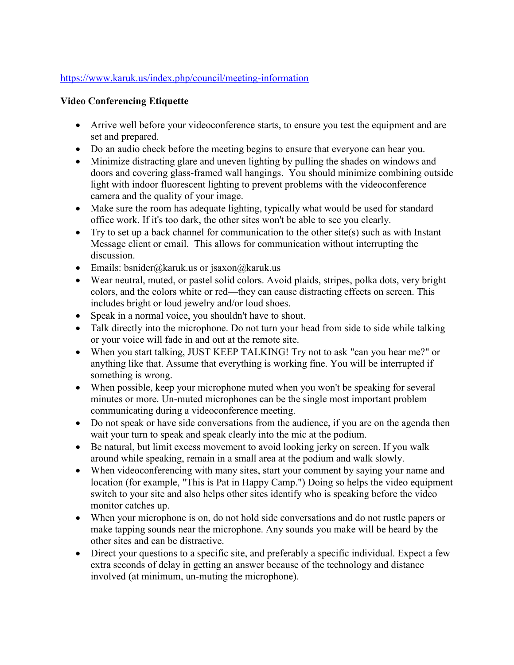## <https://www.karuk.us/index.php/council/meeting-information>

## **Video Conferencing Etiquette**

- Arrive well before your videoconference starts, to ensure you test the equipment and are set and prepared.
- Do an audio check before the meeting begins to ensure that everyone can hear you.
- Minimize distracting glare and uneven lighting by pulling the shades on windows and doors and covering glass-framed wall hangings. You should minimize combining outside light with indoor fluorescent lighting to prevent problems with the videoconference camera and the quality of your image.
- Make sure the room has adequate lighting, typically what would be used for standard office work. If it's too dark, the other sites won't be able to see you clearly.
- Try to set up a back channel for communication to the other site(s) such as with Instant Message client or email. This allows for communication without interrupting the discussion.
- Emails: bsnider@karuk.us or jsaxon@karuk.us
- Wear neutral, muted, or pastel solid colors. Avoid plaids, stripes, polka dots, very bright colors, and the colors white or red—they can cause distracting effects on screen. This includes bright or loud jewelry and/or loud shoes.
- Speak in a normal voice, you shouldn't have to shout.
- Talk directly into the microphone. Do not turn your head from side to side while talking or your voice will fade in and out at the remote site.
- When you start talking, JUST KEEP TALKING! Try not to ask "can you hear me?" or anything like that. Assume that everything is working fine. You will be interrupted if something is wrong.
- When possible, keep your microphone muted when you won't be speaking for several minutes or more. Un-muted microphones can be the single most important problem communicating during a videoconference meeting.
- Do not speak or have side conversations from the audience, if you are on the agenda then wait your turn to speak and speak clearly into the mic at the podium.
- Be natural, but limit excess movement to avoid looking jerky on screen. If you walk around while speaking, remain in a small area at the podium and walk slowly.
- When videoconferencing with many sites, start your comment by saying your name and location (for example, "This is Pat in Happy Camp.") Doing so helps the video equipment switch to your site and also helps other sites identify who is speaking before the video monitor catches up.
- When your microphone is on, do not hold side conversations and do not rustle papers or make tapping sounds near the microphone. Any sounds you make will be heard by the other sites and can be distractive.
- Direct your questions to a specific site, and preferably a specific individual. Expect a few extra seconds of delay in getting an answer because of the technology and distance involved (at minimum, un-muting the microphone).